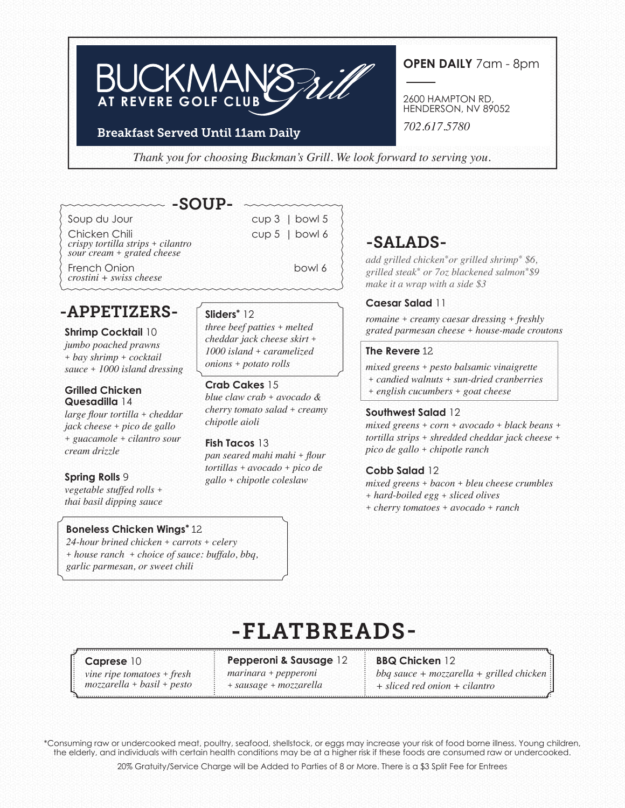# **BUCKMA AT REVERE GOLF CLUB**

#### Breakfast Served Until 11am Daily

**OPEN DAILY** 7am - 8pm

2600 HAMPTON RD, HENDERSON, NV 89052

*702.617.5780*

*Thank you for choosing Buckman's Grill. We look forward to serving you.*

# -SOUP-

Soup du Jour cup 3 | bowl 5 Chicken Chili Cup 5 | bowl 6 *crispy tortilla strips + cilantro sour cream + grated cheese*

French Onion bowl 6 bowl 6 *crostini + swiss cheese*

# -APPETIZERS-

### **Shrimp Cocktail** 10

*jumbo poached prawns + bay shrimp + cocktail sauce + 1000 island dressing*

#### **Grilled Chicken Quesadilla** 14

*large flour tortilla + cheddar jack cheese + pico de gallo + guacamole + cilantro sour cream drizzle*

#### **Spring Rolls** 9

*vegetable stuffed rolls + thai basil dipping sauce*

#### **Boneless Chicken Wings\*** 12

*24-hour brined chicken + carrots + celery + house ranch + choice of sauce: buffalo, bbq, garlic parmesan, or sweet chili*

### **Sliders\*** 12

*three beef patties + melted cheddar jack cheese skirt + 1000 island + caramelized onions + potato rolls* 

#### **Crab Cakes** 15

*blue claw crab + avocado & cherry tomato salad + creamy chipotle aioli*

#### **Fish Tacos** 13

*pan seared mahi mahi + flour tortillas + avocado + pico de gallo + chipotle coleslaw*

# -SALADS-

*add grilled chicken\*or grilled shrimp\* \$6, grilled steak\* or 7oz blackened salmon\*\$9 make it a wrap with a side \$3*

#### **Caesar Salad** 11

*romaine + creamy caesar dressing + freshly grated parmesan cheese + house-made croutons*

#### **The Revere** 12

*mixed greens + pesto balsamic vinaigrette + candied walnuts + sun-dried cranberries + english cucumbers + goat cheese*

#### **Southwest Salad** 12

*mixed greens + corn + avocado + black beans + tortilla strips + shredded cheddar jack cheese + pico de gallo + chipotle ranch*

#### **Cobb Salad** 12

- *mixed greens + bacon + bleu cheese crumbles + hard-boiled egg + sliced olives*
- *+ cherry tomatoes + avocado + ranch*

# -FLATBREADS-

**Caprese** 10 *vine ripe tomatoes + fresh mozzarella + basil + pesto* **Pepperoni & Sausage** 12 *marinara + pepperoni + sausage + mozzarella* 

**BBQ Chicken** 12 *bbq sauce + mozzarella + grilled chicken + sliced red onion + cilantro* 

\*Consuming raw or undercooked meat, poultry, seafood, shellstock, or eggs may increase your risk of food borne illness. Young children, the elderly, and individuals with certain health conditions may be at a higher risk if these foods are consumed raw or undercooked.

20% Gratuity/Service Charge will be Added to Parties of 8 or More. There is a \$3 Split Fee for Entrees